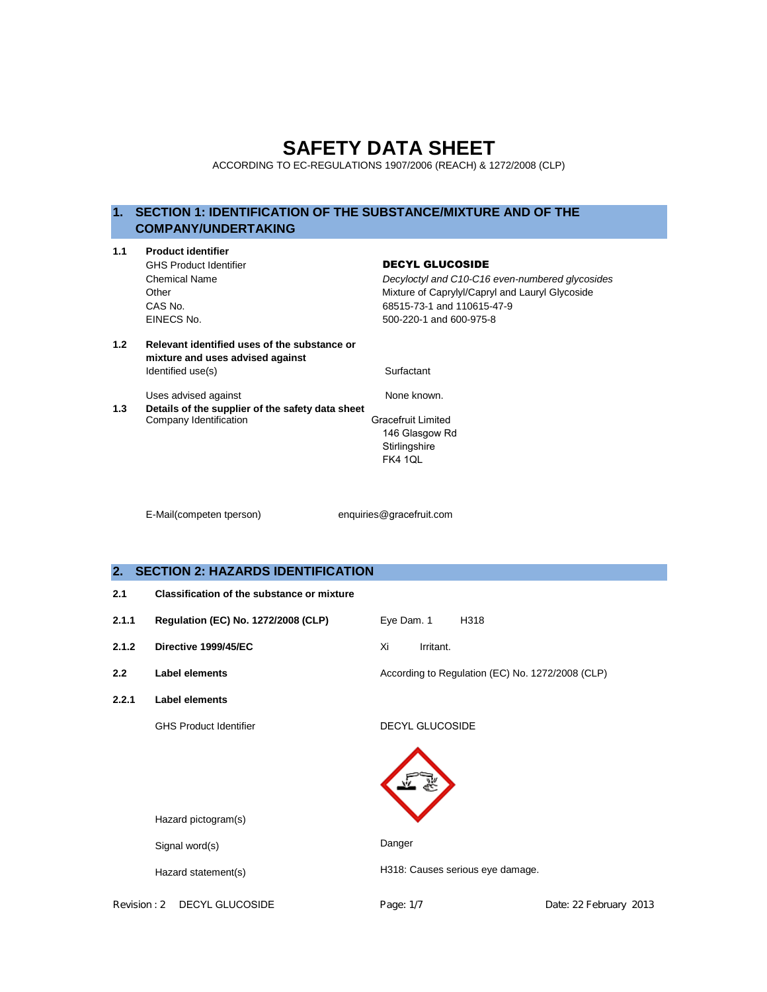# **SAFETY DATA SHEET**

ACCORDING TO EC-REGULATIONS 1907/2006 (REACH) & 1272/2008 (CLP)

# **1. SECTION 1: IDENTIFICATION OF THE SUBSTANCE/MIXTURE AND OF THE COMPANY/UNDERTAKING**

| 1.1 | <b>Product identifier</b>                                                        |                                                 |
|-----|----------------------------------------------------------------------------------|-------------------------------------------------|
|     | <b>GHS Product Identifier</b>                                                    | <b>DECYL GLUCOSIDE</b>                          |
|     | <b>Chemical Name</b>                                                             | Decyloctyl and C10-C16 even-numbered glycosides |
|     | Other                                                                            | Mixture of Caprylyl/Capryl and Lauryl Glycoside |
|     | CAS No.                                                                          | 68515-73-1 and 110615-47-9                      |
|     | EINECS No.                                                                       | 500-220-1 and 600-975-8                         |
| 1.2 | Relevant identified uses of the substance or<br>mixture and uses advised against |                                                 |
|     | Identified use(s)                                                                | Surfactant                                      |
|     | Uses advised against                                                             | None known.                                     |
| 1.3 | Details of the supplier of the safety data sheet                                 |                                                 |
|     | Company Identification                                                           | <b>Gracefruit Limited</b>                       |
|     |                                                                                  | 146 Glasgow Rd                                  |
|     |                                                                                  | Stirlingshire                                   |
|     |                                                                                  | <b>FK4 1QL</b>                                  |
|     |                                                                                  |                                                 |
|     |                                                                                  |                                                 |

E-Mail(competen tperson) enquiries@gracefruit.com

# **2. SECTION 2: HAZARDS IDENTIFICATION**

| 2.1 | <b>Classification of the substance or mixture</b> |  |
|-----|---------------------------------------------------|--|
|-----|---------------------------------------------------|--|

**2.1.1 Regulation (EC) No. 1272/2008 (CLP)** Eye Dam. 1 H318 **2.1.2 Directive 1999/45/EC** Xi Irritant. **2.2 Label elements According to Regulation (EC) No. 1272/2008 (CLP) 2.2.1 Label elements** GHS Product Identifier DECYL GLUCOSIDE

Hazard pictogram(s)

Signal word(s)

Hazard statement(s)

Revision : 2 DECYL GLUCOSIDE Page: 1/7 Page: 1/7 Date: 22 February 2013

H318: Causes serious eye damage.

Danger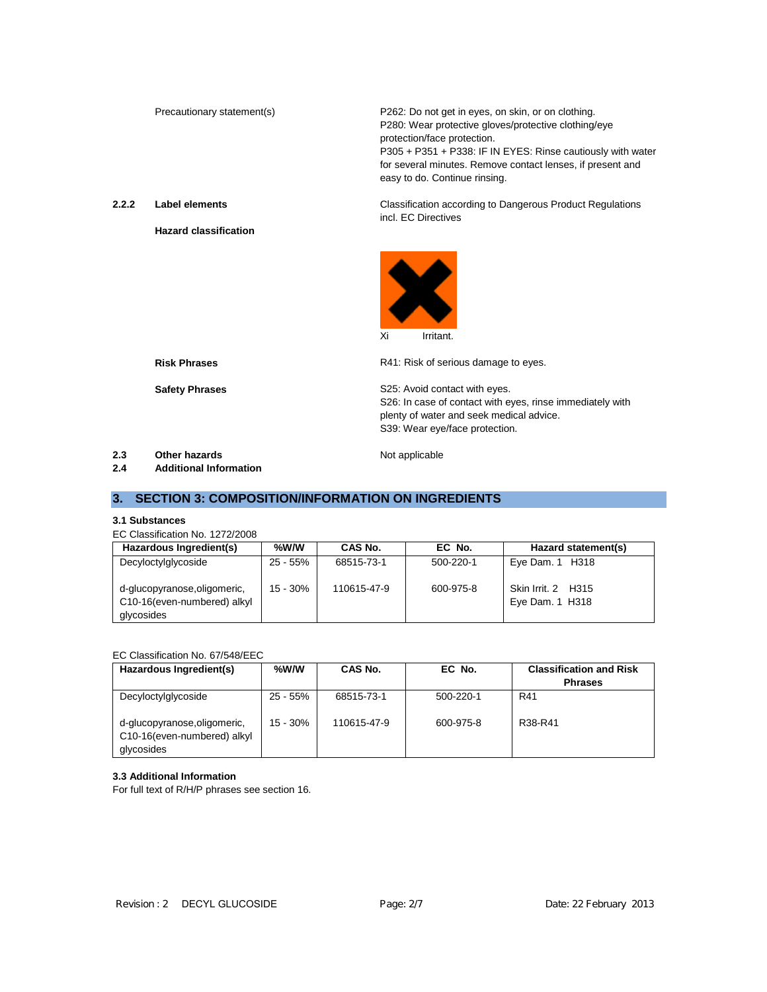Precautionary statement(s) P262: Do not get in eyes, on skin, or on clothing. P280: Wear protective gloves/protective clothing/eye protection/face protection. P305 + P351 + P338: IF IN EYES: Rinse cautiously with water for several minutes. Remove contact lenses, if present and easy to do. Continue rinsing.

**2.2.2 Label elements**

**Hazard classification**

Classification according to Dangerous Product Regulations incl. EC Directives



**Risk Phrases**

**Safety Phrases**

R41: Risk of serious damage to eyes.

S25: Avoid contact with eyes. S26: In case of contact with eyes, rinse immediately with plenty of water and seek medical advice. S39: Wear eye/face protection.

**2.3 Other hazards** Not applicable **2.4 Additional Information**

# **3. SECTION 3: COMPOSITION/INFORMATION ON INGREDIENTS**

## **3.1 Substances**

EC Classification No. 1272/2008

| Hazardous Ingredient(s)                                                   | %W/W     | CAS No.     | EC No.    | Hazard statement(s)                   |
|---------------------------------------------------------------------------|----------|-------------|-----------|---------------------------------------|
| Decyloctylglycoside                                                       | 25 - 55% | 68515-73-1  | 500-220-1 | Eye Dam. $1$ H318                     |
| d-glucopyranose, oligomeric,<br>C10-16(even-numbered) alkyl<br>glycosides | 15 - 30% | 110615-47-9 | 600-975-8 | Skin Irrit. 2 H315<br>Eye Dam. 1 H318 |

### EC Classification No. 67/548/EEC

| Hazardous Ingredient(s)                                                   | %W/W       | CAS No.     | EC No.    | <b>Classification and Risk</b><br><b>Phrases</b> |
|---------------------------------------------------------------------------|------------|-------------|-----------|--------------------------------------------------|
|                                                                           |            |             |           |                                                  |
| Decyloctylglycoside                                                       | 25 - 55%   | 68515-73-1  | 500-220-1 | R41                                              |
| d-glucopyranose, oligomeric,<br>C10-16(even-numbered) alkyl<br>glycosides | $15 - 30%$ | 110615-47-9 | 600-975-8 | R38-R41                                          |

### **3.3 Additional Information**

For full text of R/H/P phrases see section 16.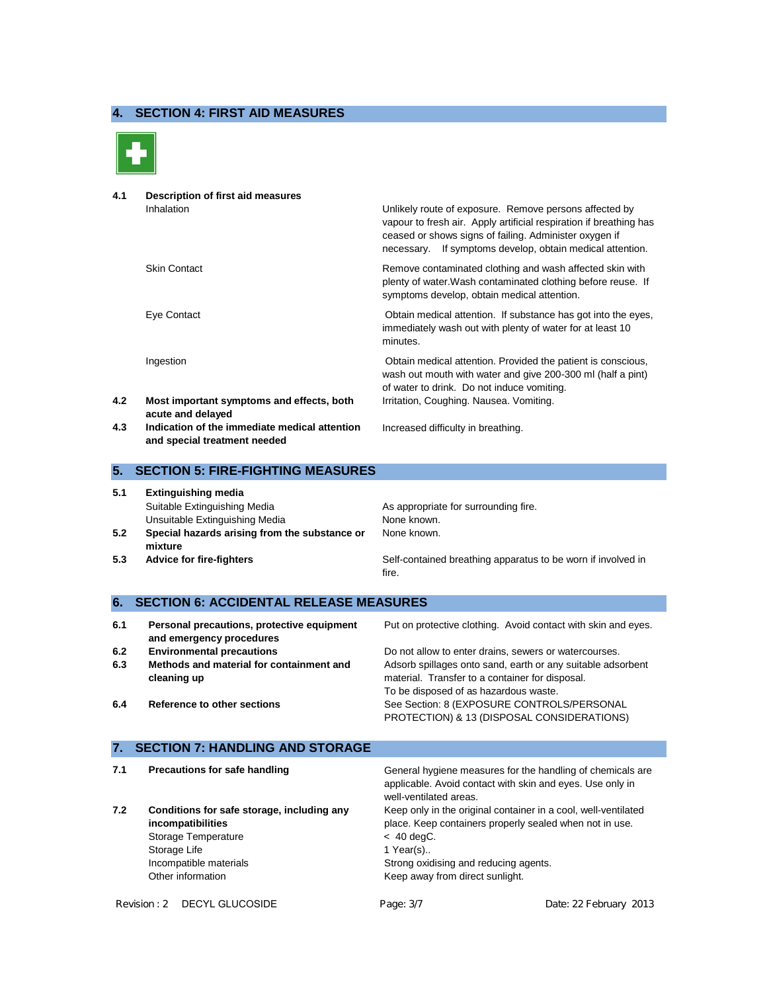# **4. SECTION 4: FIRST AID MEASURES**



**4.1 Description of first aid measures** Inhalation Unlikely route of exposure. Remove persons affected by vapour to fresh air. Apply artificial respiration if breathing has ceased or shows signs of failing. Administer oxygen if necessary. If symptoms develop, obtain medical attention. Skin Contact Remove contaminated clothing and wash affected skin with plenty of water.Wash contaminated clothing before reuse. If symptoms develop, obtain medical attention. Eye Contact Obtain medical attention. If substance has got into the eyes, immediately wash out with plenty of water for at least 10 minutes.

Ingestion Obtain medical attention. Provided the patient is conscious,

- **4.2 Most important symptoms and effects, both acute and delayed**
- **4.3 Indication of the immediate medical attention and special treatment needed**

# **5. SECTION 5: FIRE-FIGHTING MEASURES**

- **5.1 Extinguishing media** Suitable Extinguishing Media **As appropriate for surrounding fire.** As appropriate for surrounding fire. Unsuitable Extinguishing Media None Known.
- **5.2 Special hazards arising from the substance or mixture**
- 

None known.

of water to drink. Do not induce vomiting.

Irritation, Coughing. Nausea. Vomiting.

Increased difficulty in breathing.

**5.3 Advice for fire-fighters** Self-contained breathing apparatus to be worn if involved in fire.

wash out mouth with water and give 200-300 ml (half a pint)

# **6. SECTION 6: ACCIDENTAL RELEASE MEASURES**

| 6.1 | Personal precautions, protective equipment<br>and emergency procedures | Put on protective clothing. Avoid contact with skin and eyes.                                                  |
|-----|------------------------------------------------------------------------|----------------------------------------------------------------------------------------------------------------|
| 6.2 | <b>Environmental precautions</b>                                       | Do not allow to enter drains, sewers or watercourses.                                                          |
| 6.3 | Methods and material for containment and<br>cleaning up                | Adsorb spillages onto sand, earth or any suitable adsorbent<br>material. Transfer to a container for disposal. |
|     |                                                                        | To be disposed of as hazardous waste.                                                                          |
| 6.4 | Reference to other sections                                            | See Section: 8 (EXPOSURE CONTROLS/PERSONAL<br>PROTECTION) & 13 (DISPOSAL CONSIDERATIONS)                       |

### **7. SECTION 7: HANDLING AND STORAGE**

**7.1 Precautions for safe handling General hygiene measures for the handling of chemicals are** applicable. Avoid contact with skin and eyes. Use only in well-ventilated areas. **7.2 Conditions for safe storage, including any incompatibilities** Keep only in the original container in a cool, well-ventilated place. Keep containers properly sealed when not in use. Storage Temperature  $\leq 40 \text{ degC}$ . Storage Life 1 Year(s)... Incompatible materials Other information Strong oxidising and reducing agents. Keep away from direct sunlight.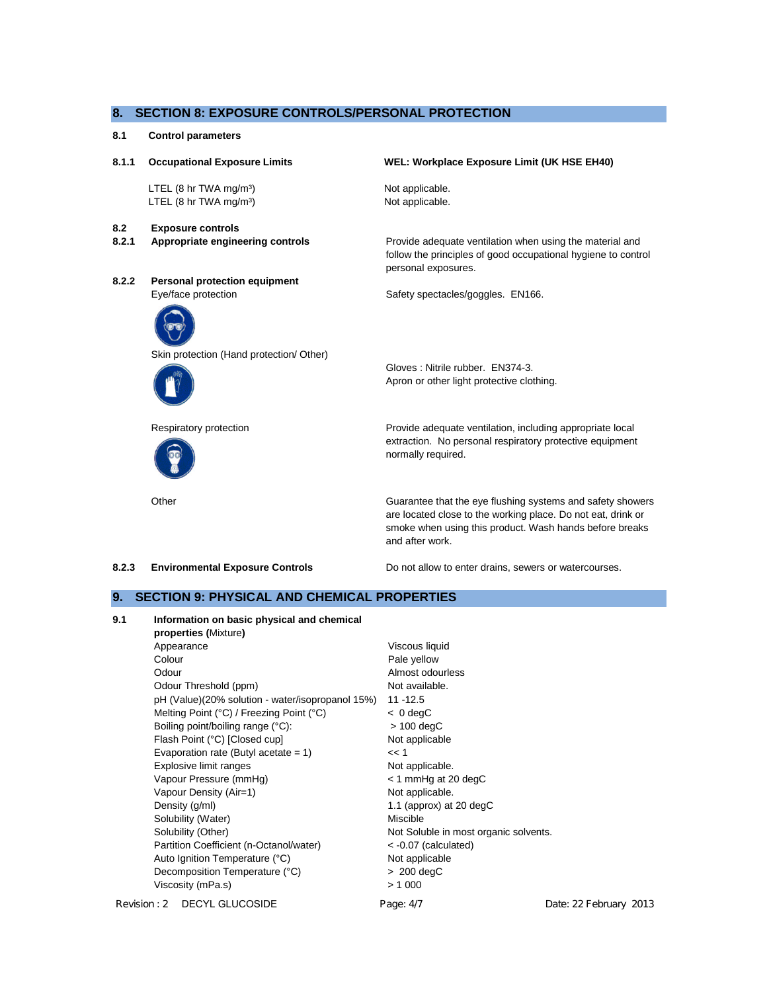### **8. SECTION 8: EXPOSURE CONTROLS/PERSONAL PROTECTION**

### **8.1 Control parameters**

# **8.1.1 Occupational Exposure Limits** LTEL (8 hr TWA mg/m<sup>3</sup>) LTEL (8 hr TWA mg/m<sup>3</sup>) **WEL: Workplace Exposure Limit (UK HSE EH40)** Not applicable. Not applicable. **8.2 Exposure controls 8.2.1 Appropriate engineering controls** Provide adequate ventilation when using the material and follow the principles of good occupational hygiene to control personal exposures. **8.2.2 Personal protection equipment** Eye/face protection extended the Safety spectacles/goggles. EN166. Skin protection (Hand protection/ Other) Gloves : Nitrile rubber. EN374-3. Apron or other light protective clothing. Respiratory protection **Provide adequate ventilation, including appropriate local** extraction. No personal respiratory protective equipment normally required. Other Guarantee that the eye flushing systems and safety showers are located close to the working place. Do not eat, drink or smoke when using this product. Wash hands before breaks

and after work.

**8.2.3 Environmental Exposure Controls** Do not allow to enter drains, sewers or watercourses.

# **9. SECTION 9: PHYSICAL AND CHEMICAL PROPERTIES**

| 9.1 | Information on basic physical and chemical       |                                       |                        |
|-----|--------------------------------------------------|---------------------------------------|------------------------|
|     | properties (Mixture)                             |                                       |                        |
|     | Appearance                                       | Viscous liquid                        |                        |
|     | Colour                                           | Pale yellow                           |                        |
|     | Odour                                            | Almost odourless                      |                        |
|     | Odour Threshold (ppm)                            | Not available.                        |                        |
|     | pH (Value)(20% solution - water/isopropanol 15%) | $11 - 12.5$                           |                        |
|     | Melting Point (°C) / Freezing Point (°C)         | $< 0$ degC                            |                        |
|     | Boiling point/boiling range (°C):                | $> 100 \text{ degC}$                  |                        |
|     | Flash Point (°C) [Closed cup]                    | Not applicable                        |                        |
|     | Evaporation rate (Butyl acetate = $1$ )          | << 1                                  |                        |
|     | Explosive limit ranges                           | Not applicable.                       |                        |
|     | Vapour Pressure (mmHg)                           | $<$ 1 mmHg at 20 degC                 |                        |
|     | Vapour Density (Air=1)                           | Not applicable.                       |                        |
|     | Density (g/ml)                                   | 1.1 (approx) at 20 degC               |                        |
|     | Solubility (Water)                               | Miscible                              |                        |
|     | Solubility (Other)                               | Not Soluble in most organic solvents. |                        |
|     | Partition Coefficient (n-Octanol/water)          | $<$ -0.07 (calculated)                |                        |
|     | Auto Ignition Temperature (°C)                   | Not applicable                        |                        |
|     | Decomposition Temperature (°C)                   | $> 200 \text{ degC}$                  |                        |
|     | Viscosity (mPa.s)                                | > 1000                                |                        |
|     | Revision: 2 DECYL GLUCOSIDE                      | Page: 4/7                             | Date: 22 February 2013 |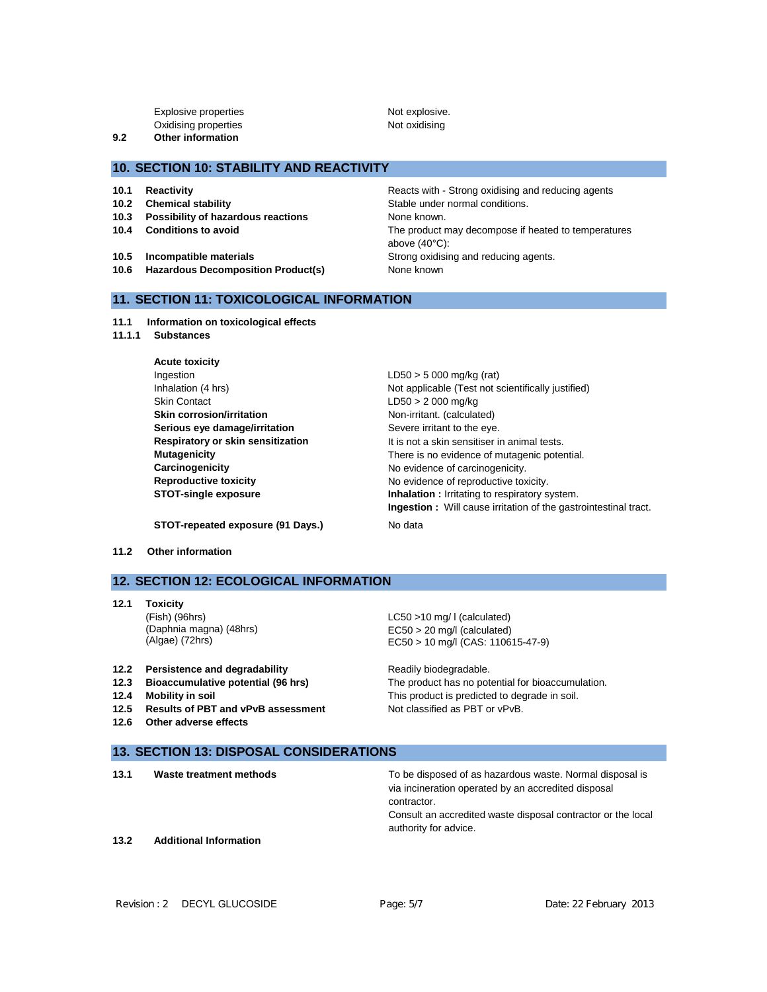Explosive properties Not explosive. Oxidising properties Not oxidising **9.2 Other information**

**10. SECTION 10: STABILITY AND REACTIVITY**

- 
- 
- **10.3 Possibility of hazardous reactions** None known.
- 
- **10.5 Incompatible materials 10.5 Incompatible materials** Strong oxidising and reducing agents.
- **10.6 Hazardous Decomposition Product(s)** None known

**10.1 Reactivity Reactivity Reactivity Reacts with - Strong oxidising and reducing agents 10.2 Chemical stability 10.2 Chemical stability Stable under normal conditions. 10.4 Conditions to avoid 10.4 Conditions to avoid The product may decompose if heated to temperatures** above (40°C):

# **11. SECTION 11: TOXICOLOGICAL INFORMATION**

- **11.1 Information on toxicological effects**
- **11.1.1 Substances**

| <b>Acute toxicity</b>             |                                                                        |
|-----------------------------------|------------------------------------------------------------------------|
| Ingestion                         | $LD50 > 5000$ mg/kg (rat)                                              |
| Inhalation (4 hrs)                | Not applicable (Test not scientifically justified)                     |
| <b>Skin Contact</b>               | $LD50 > 2000$ mg/kg                                                    |
| <b>Skin corrosion/irritation</b>  | Non-irritant. (calculated)                                             |
| Serious eye damage/irritation     | Severe irritant to the eye.                                            |
| Respiratory or skin sensitization | It is not a skin sensitiser in animal tests.                           |
| <b>Mutagenicity</b>               | There is no evidence of mutagenic potential.                           |
| Carcinogenicity                   | No evidence of carcinogenicity.                                        |
| <b>Reproductive toxicity</b>      | No evidence of reproductive toxicity.                                  |
| <b>STOT-single exposure</b>       | <b>Inhalation:</b> Irritating to respiratory system.                   |
|                                   | <b>Ingestion:</b> Will cause irritation of the gastrointestinal tract. |

**STOT-repeated exposure (91 Days.)** No data

**11.2 Other information**

# **12. SECTION 12: ECOLOGICAL INFORMATION**

**12.1 Toxicity** (Fish) (96hrs) (Daphnia magna) (48hrs) (Algae) (72hrs)

**12.6 Other adverse effects**

LC50 >10 mg/ l (calculated) EC50 > 20 mg/l (calculated) EC50 > 10 mg/l (CAS: 110615-47-9)

12.2 **Persistence and degradability** Readily biodegradable. **12.3 Bioaccumulative potential (96 hrs)** The product has no potential for bioaccumulation. **12.4 Mobility in soil** This product is predicted to degrade in soil. 12.5 **Results of PBT and vPvB assessment** Not classified as PBT or vPvB.

- **13. SECTION 13: DISPOSAL CONSIDERATIONS**
- **13.1 Waste treatment methods** To be disposed of as hazardous waste. Normal disposal is via incineration operated by an accredited disposal contractor. Consult an accredited waste disposal contractor or the local authority for advice. **13.2 Additional Information**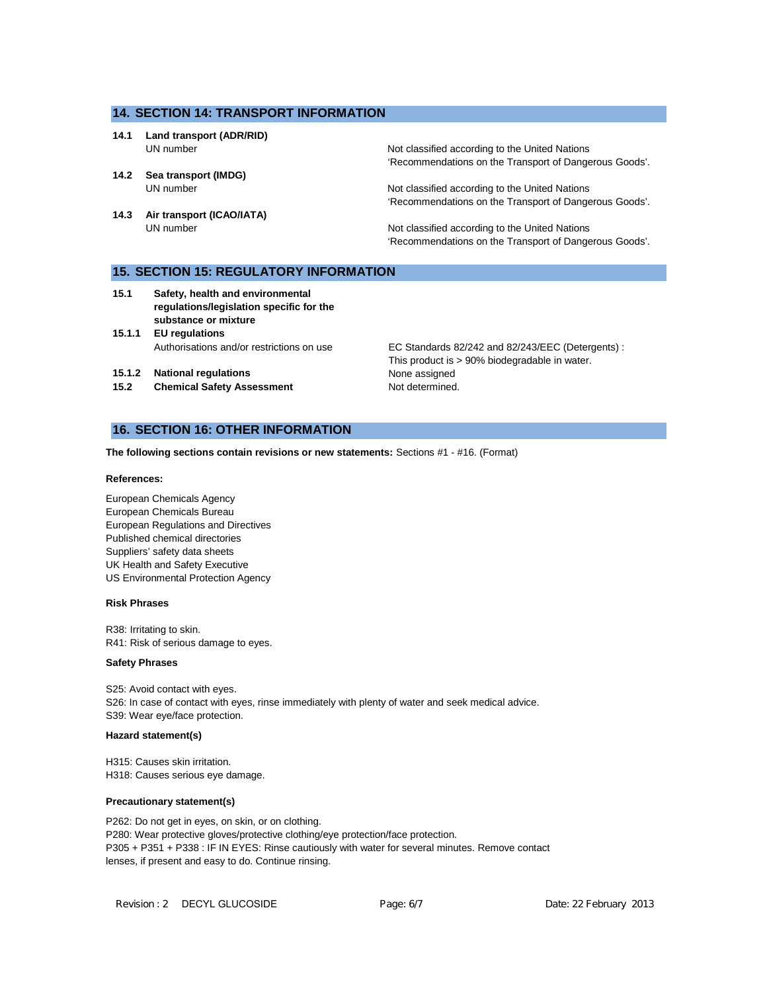### **14. SECTION 14: TRANSPORT INFORMATION**

- **14.1 Land transport (ADR/RID)**
- **14.2 Sea transport (IMDG)**
- **14.3 Air transport (ICAO/IATA)**

UN number **Not classified according to the United Nations** 'Recommendations on the Transport of Dangerous Goods'.

UN number **Note assisting that COND** Not classified according to the United Nations 'Recommendations on the Transport of Dangerous Goods'.

UN number **Not classified according to the United Nations** 'Recommendations on the Transport of Dangerous Goods'.

# **15. SECTION 15: REGULATORY INFORMATION**

- **15.1 Safety, health and environmental regulations/legislation specific for the substance or mixture**
- **15.1.1 EU regulations**

**15.1.2 National regulations** None assigned

15.2 **Chemical Safety Assessment** Not determined.

Authorisations and/or restrictions on use EC Standards 82/242 and 82/243/EEC (Detergents) : This product is > 90% biodegradable in water.

# **16. SECTION 16: OTHER INFORMATION**

**The following sections contain revisions or new statements:** Sections #1 - #16. (Format)

### **References:**

European Chemicals Agency European Chemicals Bureau European Regulations and Directives Published chemical directories Suppliers' safety data sheets UK Health and Safety Executive US Environmental Protection Agency

### **Risk Phrases**

R38: Irritating to skin. R41: Risk of serious damage to eyes.

## **Safety Phrases**

S25: Avoid contact with eyes. S26: In case of contact with eyes, rinse immediately with plenty of water and seek medical advice. S39: Wear eye/face protection.

### **Hazard statement(s)**

H315: Causes skin irritation. H318: Causes serious eye damage.

### **Precautionary statement(s)**

P262: Do not get in eyes, on skin, or on clothing. P280: Wear protective gloves/protective clothing/eye protection/face protection. P305 + P351 + P338 : IF IN EYES: Rinse cautiously with water for several minutes. Remove contact lenses, if present and easy to do. Continue rinsing.